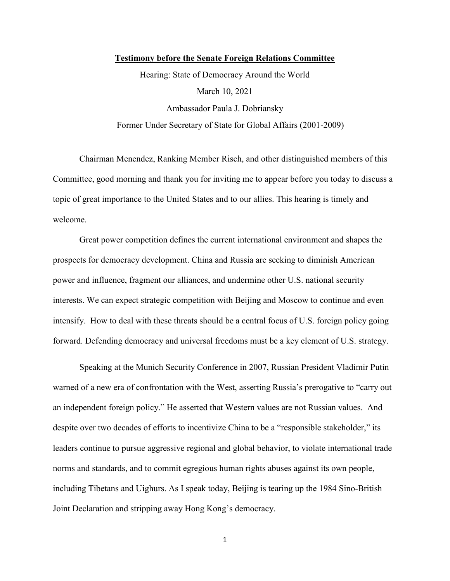## **Testimony before the Senate Foreign Relations Committee**

Hearing: State of Democracy Around the World March 10, 2021 Ambassador Paula J. Dobriansky Former Under Secretary of State for Global Affairs (2001-2009)

Chairman Menendez, Ranking Member Risch, and other distinguished members of this Committee, good morning and thank you for inviting me to appear before you today to discuss a topic of great importance to the United States and to our allies. This hearing is timely and welcome.

Great power competition defines the current international environment and shapes the prospects for democracy development. China and Russia are seeking to diminish American power and influence, fragment our alliances, and undermine other U.S. national security interests. We can expect strategic competition with Beijing and Moscow to continue and even intensify. How to deal with these threats should be a central focus of U.S. foreign policy going forward. Defending democracy and universal freedoms must be a key element of U.S. strategy.

Speaking at the Munich Security Conference in 2007, Russian President Vladimir Putin warned of a new era of confrontation with the West, asserting Russia's prerogative to "carry out an independent foreign policy." He asserted that Western values are not Russian values. And despite over two decades of efforts to incentivize China to be a "responsible stakeholder," its leaders continue to pursue aggressive regional and global behavior, to violate international trade norms and standards, and to commit egregious human rights abuses against its own people, including Tibetans and Uighurs. As I speak today, Beijing is tearing up the 1984 Sino-British Joint Declaration and stripping away Hong Kong's democracy.

1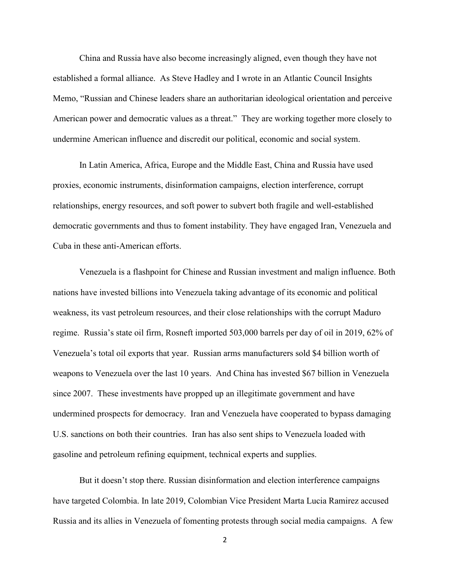China and Russia have also become increasingly aligned, even though they have not established a formal alliance. As Steve Hadley and I wrote in an Atlantic Council Insights Memo, "Russian and Chinese leaders share an authoritarian ideological orientation and perceive American power and democratic values as a threat." They are working together more closely to undermine American influence and discredit our political, economic and social system.

In Latin America, Africa, Europe and the Middle East, China and Russia have used proxies, economic instruments, disinformation campaigns, election interference, corrupt relationships, energy resources, and soft power to subvert both fragile and well-established democratic governments and thus to foment instability. They have engaged Iran, Venezuela and Cuba in these anti-American efforts.

Venezuela is a flashpoint for Chinese and Russian investment and malign influence. Both nations have invested billions into Venezuela taking advantage of its economic and political weakness, its vast petroleum resources, and their close relationships with the corrupt Maduro regime. Russia's state oil firm, Rosneft imported 503,000 barrels per day of oil in 2019, 62% of Venezuela's total oil exports that year. Russian arms manufacturers sold \$4 billion worth of weapons to Venezuela over the last 10 years. And China has invested \$67 billion in Venezuela since 2007. These investments have propped up an illegitimate government and have undermined prospects for democracy. Iran and Venezuela have cooperated to bypass damaging U.S. sanctions on both their countries. Iran has also sent ships to Venezuela loaded with gasoline and petroleum refining equipment, technical experts and supplies.

But it doesn't stop there. Russian disinformation and election interference campaigns have targeted Colombia. In late 2019, Colombian Vice President Marta Lucia Ramirez accused Russia and its allies in Venezuela of fomenting protests through social media campaigns. A few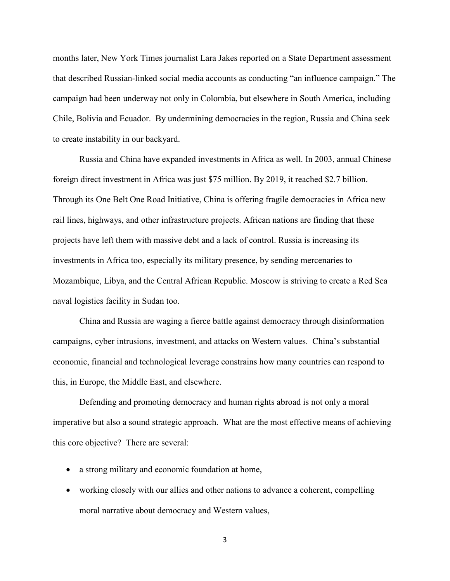months later, New York Times journalist Lara Jakes reported on a State Department assessment that described Russian-linked social media accounts as conducting "an influence campaign." The campaign had been underway not only in Colombia, but elsewhere in South America, including Chile, Bolivia and Ecuador. By undermining democracies in the region, Russia and China seek to create instability in our backyard.

Russia and China have expanded investments in Africa as well. In 2003, annual Chinese foreign direct investment in Africa was just \$75 million. By 2019, it reached \$2.7 billion. Through its One Belt One Road Initiative, China is offering fragile democracies in Africa new rail lines, highways, and other infrastructure projects. African nations are finding that these projects have left them with massive debt and a lack of control. Russia is increasing its investments in Africa too, especially its military presence, by sending mercenaries to Mozambique, Libya, and the Central African Republic. Moscow is striving to create a Red Sea naval logistics facility in Sudan too.

China and Russia are waging a fierce battle against democracy through disinformation campaigns, cyber intrusions, investment, and attacks on Western values. China's substantial economic, financial and technological leverage constrains how many countries can respond to this, in Europe, the Middle East, and elsewhere.

 Defending and promoting democracy and human rights abroad is not only a moral imperative but also a sound strategic approach. What are the most effective means of achieving this core objective? There are several:

- a strong military and economic foundation at home,
- working closely with our allies and other nations to advance a coherent, compelling moral narrative about democracy and Western values,

3